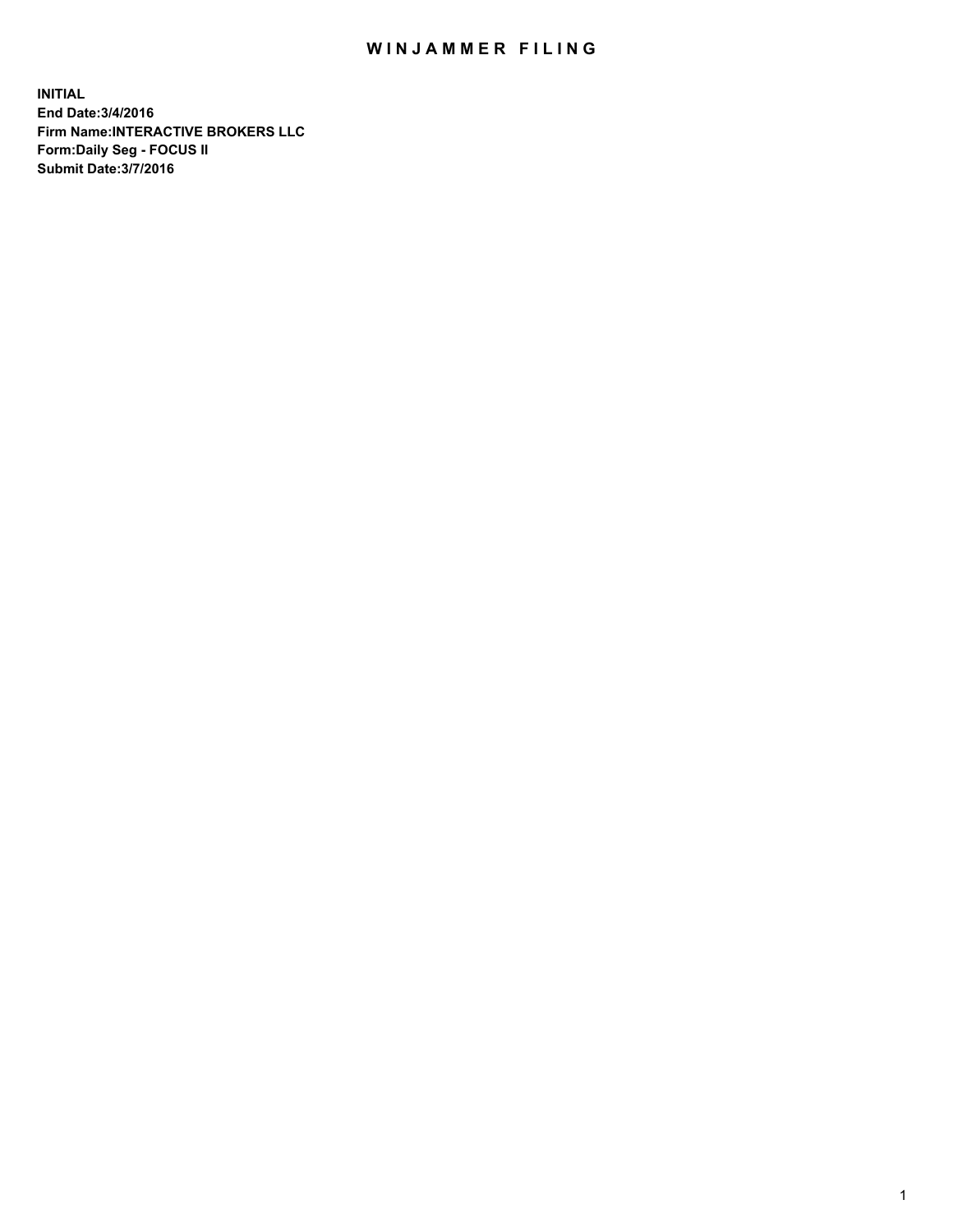## WIN JAMMER FILING

**INITIAL End Date:3/4/2016 Firm Name:INTERACTIVE BROKERS LLC Form:Daily Seg - FOCUS II Submit Date:3/7/2016**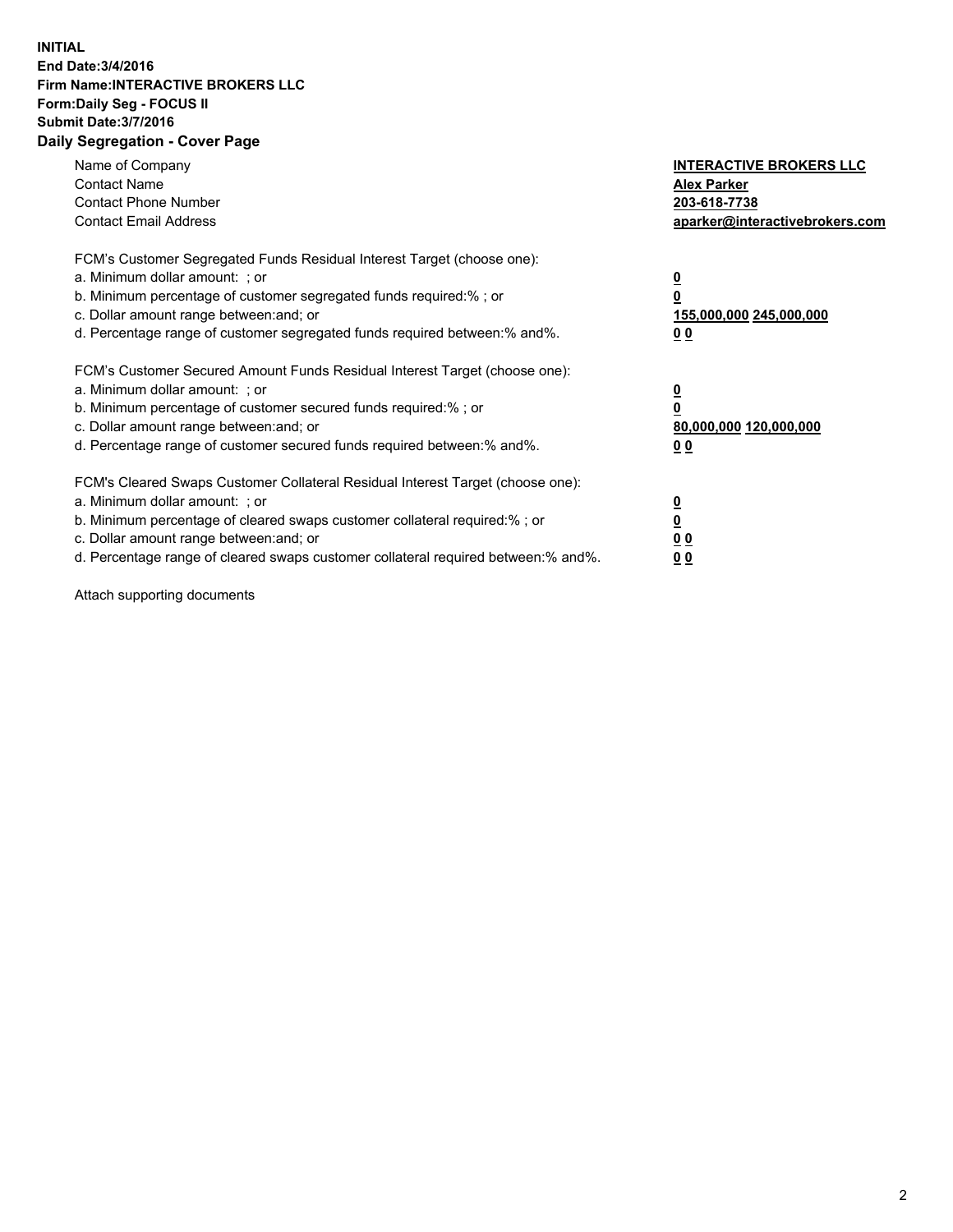## **INITIAL End Date:3/4/2016 Firm Name:INTERACTIVE BROKERS LLC Form:Daily Seg - FOCUS II Submit Date:3/7/2016 Daily Segregation - Cover Page**

| Name of Company<br><b>Contact Name</b><br><b>Contact Phone Number</b><br><b>Contact Email Address</b>                                                                                                                                                                                                                          | <b>INTERACTIVE BROKERS LLC</b><br><b>Alex Parker</b><br>203-618-7738<br>aparker@interactivebrokers.com |
|--------------------------------------------------------------------------------------------------------------------------------------------------------------------------------------------------------------------------------------------------------------------------------------------------------------------------------|--------------------------------------------------------------------------------------------------------|
| FCM's Customer Segregated Funds Residual Interest Target (choose one):<br>a. Minimum dollar amount: ; or<br>b. Minimum percentage of customer segregated funds required:%; or<br>c. Dollar amount range between: and; or<br>d. Percentage range of customer segregated funds required between:% and%.                          | <u>0</u><br>155,000,000 245,000,000<br><u>00</u>                                                       |
| FCM's Customer Secured Amount Funds Residual Interest Target (choose one):<br>a. Minimum dollar amount: ; or<br>b. Minimum percentage of customer secured funds required:%; or<br>c. Dollar amount range between: and; or<br>d. Percentage range of customer secured funds required between:% and%.                            | <u>0</u><br>80,000,000 120,000,000<br>0 <sub>0</sub>                                                   |
| FCM's Cleared Swaps Customer Collateral Residual Interest Target (choose one):<br>a. Minimum dollar amount: ; or<br>b. Minimum percentage of cleared swaps customer collateral required:% ; or<br>c. Dollar amount range between: and; or<br>d. Percentage range of cleared swaps customer collateral required between:% and%. | ₫<br>0 <sub>0</sub><br>0 <sub>0</sub>                                                                  |

Attach supporting documents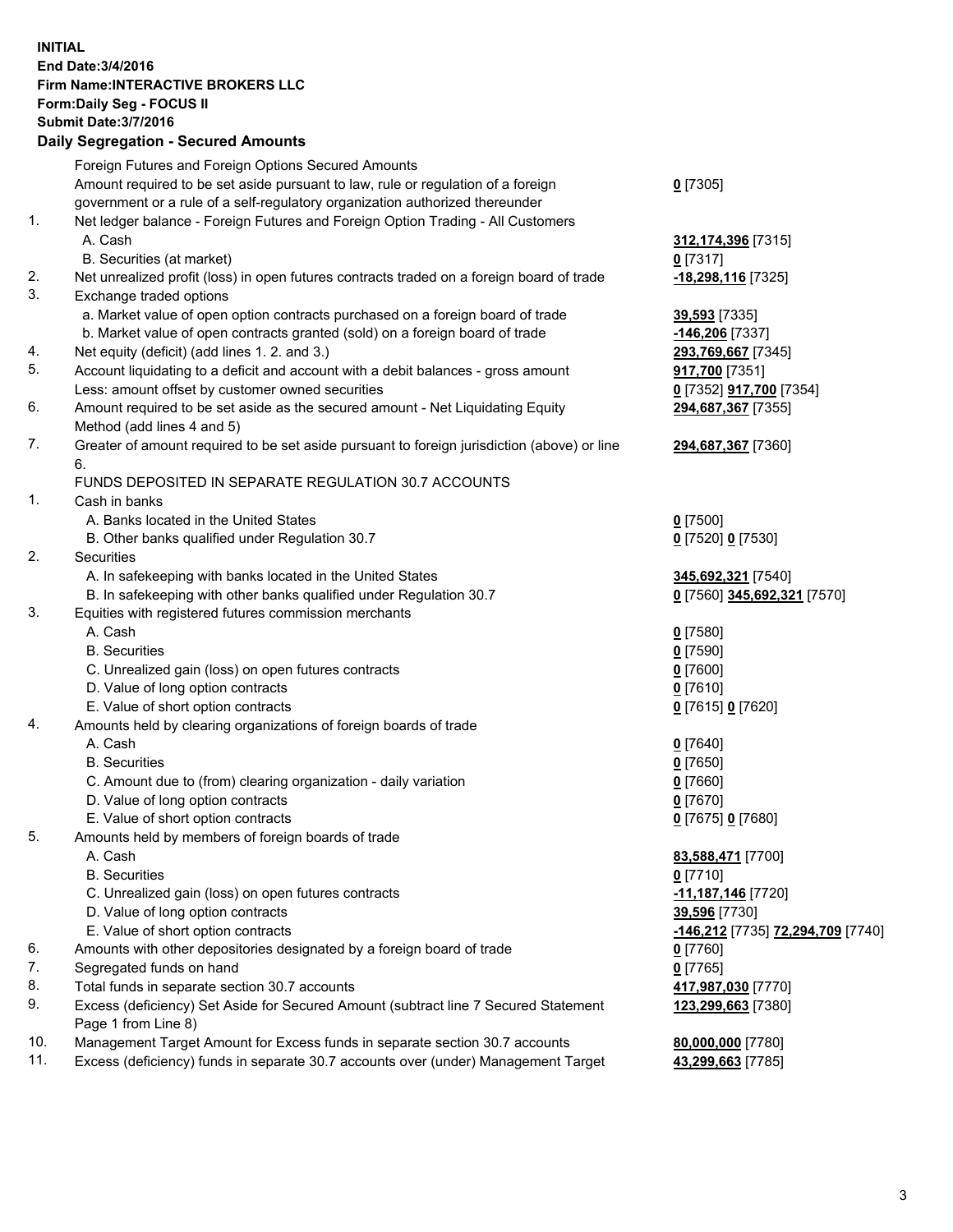## **INITIAL End Date:3/4/2016 Firm Name:INTERACTIVE BROKERS LLC Form:Daily Seg - FOCUS II Submit Date:3/7/2016 Daily Segregation - Secured Amounts**

|     | Foreign Futures and Foreign Options Secured Amounts                                         |                                   |
|-----|---------------------------------------------------------------------------------------------|-----------------------------------|
|     | Amount required to be set aside pursuant to law, rule or regulation of a foreign            | $0$ [7305]                        |
|     | government or a rule of a self-regulatory organization authorized thereunder                |                                   |
| 1.  | Net ledger balance - Foreign Futures and Foreign Option Trading - All Customers             |                                   |
|     | A. Cash                                                                                     | 312,174,396 [7315]                |
|     | B. Securities (at market)                                                                   | $0$ [7317]                        |
| 2.  | Net unrealized profit (loss) in open futures contracts traded on a foreign board of trade   | -18,298,116 [7325]                |
| 3.  | Exchange traded options                                                                     |                                   |
|     | a. Market value of open option contracts purchased on a foreign board of trade              | 39,593 [7335]                     |
|     | b. Market value of open contracts granted (sold) on a foreign board of trade                | <u>-146,206</u> [7337]            |
| 4.  | Net equity (deficit) (add lines 1. 2. and 3.)                                               | 293,769,667 [7345]                |
| 5.  | Account liquidating to a deficit and account with a debit balances - gross amount           | 917,700 [7351]                    |
|     | Less: amount offset by customer owned securities                                            | 0 [7352] <b>917,700</b> [7354]    |
| 6.  | Amount required to be set aside as the secured amount - Net Liquidating Equity              | 294,687,367 [7355]                |
|     | Method (add lines 4 and 5)                                                                  |                                   |
| 7.  | Greater of amount required to be set aside pursuant to foreign jurisdiction (above) or line | 294,687,367 [7360]                |
|     | 6.                                                                                          |                                   |
|     | FUNDS DEPOSITED IN SEPARATE REGULATION 30.7 ACCOUNTS                                        |                                   |
| 1.  | Cash in banks                                                                               |                                   |
|     | A. Banks located in the United States                                                       | $0$ [7500]                        |
|     |                                                                                             |                                   |
| 2.  | B. Other banks qualified under Regulation 30.7                                              | 0 [7520] 0 [7530]                 |
|     | Securities                                                                                  |                                   |
|     | A. In safekeeping with banks located in the United States                                   | 345,692,321 [7540]                |
|     | B. In safekeeping with other banks qualified under Regulation 30.7                          | 0 [7560] 345,692,321 [7570]       |
| 3.  | Equities with registered futures commission merchants                                       |                                   |
|     | A. Cash                                                                                     | $0$ [7580]                        |
|     | <b>B.</b> Securities                                                                        | $0$ [7590]                        |
|     | C. Unrealized gain (loss) on open futures contracts                                         | $0$ [7600]                        |
|     | D. Value of long option contracts                                                           | $0$ [7610]                        |
|     | E. Value of short option contracts                                                          | 0 [7615] 0 [7620]                 |
| 4.  | Amounts held by clearing organizations of foreign boards of trade                           |                                   |
|     | A. Cash                                                                                     | $0$ [7640]                        |
|     | <b>B.</b> Securities                                                                        | $0$ [7650]                        |
|     | C. Amount due to (from) clearing organization - daily variation                             | $0$ [7660]                        |
|     | D. Value of long option contracts                                                           | $0$ [7670]                        |
|     | E. Value of short option contracts                                                          | 0 [7675] 0 [7680]                 |
| 5.  | Amounts held by members of foreign boards of trade                                          |                                   |
|     | A. Cash                                                                                     | 83,588,471 [7700]                 |
|     | <b>B.</b> Securities                                                                        | $0$ [7710]                        |
|     | C. Unrealized gain (loss) on open futures contracts                                         | -11,187,146 <sup>[7720]</sup>     |
|     | D. Value of long option contracts                                                           | 39,596 [7730]                     |
|     | E. Value of short option contracts                                                          | -146,212 [7735] 72,294,709 [7740] |
| 6.  | Amounts with other depositories designated by a foreign board of trade                      | $0$ [7760]                        |
| 7.  | Segregated funds on hand                                                                    | $0$ [7765]                        |
| 8.  | Total funds in separate section 30.7 accounts                                               | 417,987,030 [7770]                |
| 9.  | Excess (deficiency) Set Aside for Secured Amount (subtract line 7 Secured Statement         | 123,299,663 [7380]                |
|     | Page 1 from Line 8)                                                                         |                                   |
| 10. | Management Target Amount for Excess funds in separate section 30.7 accounts                 | 80,000,000 [7780]                 |
| 11. | Excess (deficiency) funds in separate 30.7 accounts over (under) Management Target          | 43,299,663 [7785]                 |
|     |                                                                                             |                                   |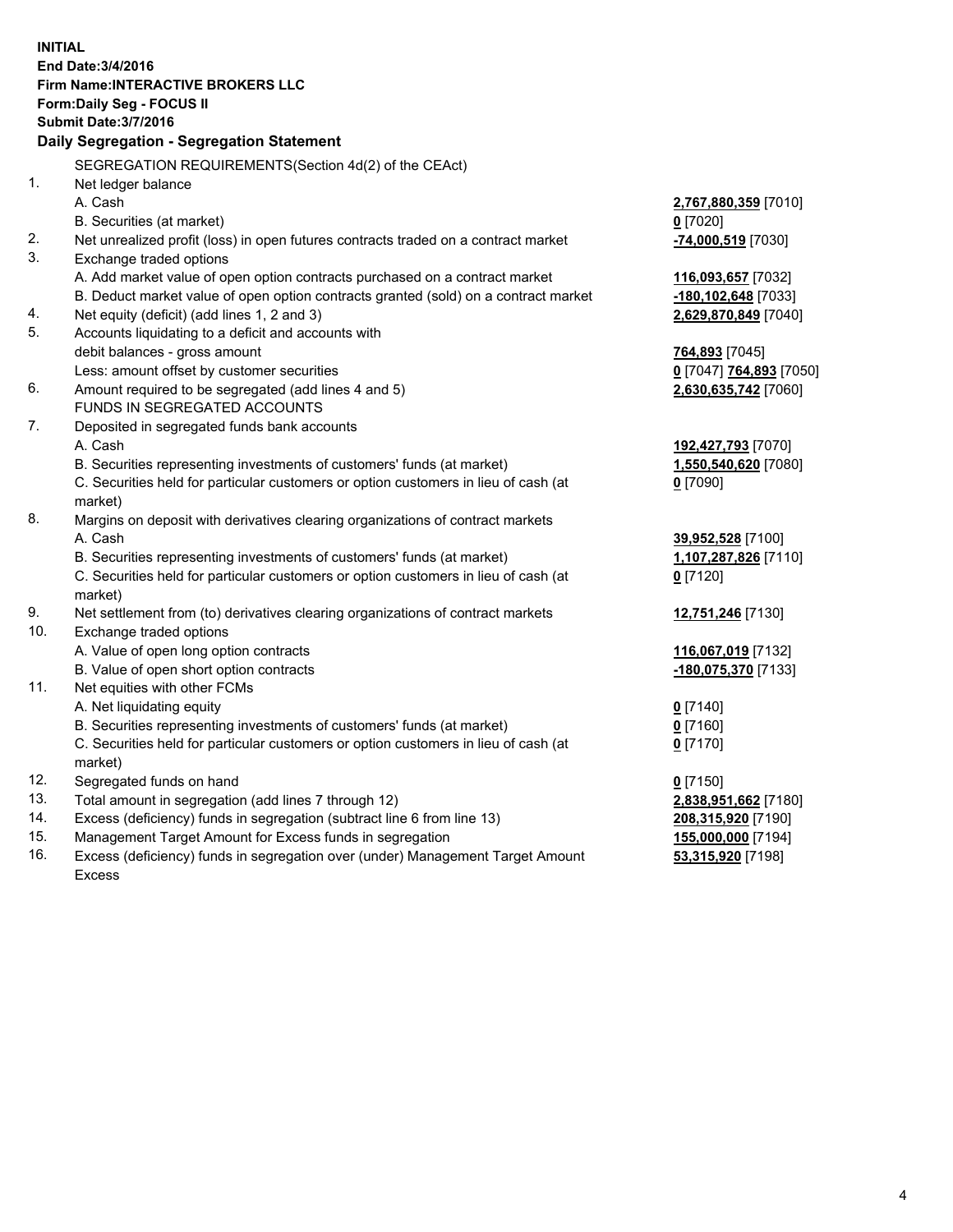**INITIAL End Date:3/4/2016 Firm Name:INTERACTIVE BROKERS LLC Form:Daily Seg - FOCUS II Submit Date:3/7/2016 Daily Segregation - Segregation Statement** SEGREGATION REQUIREMENTS(Section 4d(2) of the CEAct) 1. Net ledger balance A. Cash **2,767,880,359** [7010] B. Securities (at market) **0** [7020] 2. Net unrealized profit (loss) in open futures contracts traded on a contract market **-74,000,519** [7030] 3. Exchange traded options A. Add market value of open option contracts purchased on a contract market **116,093,657** [7032] B. Deduct market value of open option contracts granted (sold) on a contract market **-180,102,648** [7033] 4. Net equity (deficit) (add lines 1, 2 and 3) **2,629,870,849** [7040] 5. Accounts liquidating to a deficit and accounts with debit balances - gross amount **764,893** [7045] Less: amount offset by customer securities **0** [7047] **764,893** [7050] 6. Amount required to be segregated (add lines 4 and 5) **2,630,635,742** [7060] FUNDS IN SEGREGATED ACCOUNTS 7. Deposited in segregated funds bank accounts A. Cash **192,427,793** [7070] B. Securities representing investments of customers' funds (at market) **1,550,540,620** [7080] C. Securities held for particular customers or option customers in lieu of cash (at market) **0** [7090] 8. Margins on deposit with derivatives clearing organizations of contract markets A. Cash **39,952,528** [7100] B. Securities representing investments of customers' funds (at market) **1,107,287,826** [7110] C. Securities held for particular customers or option customers in lieu of cash (at market) **0** [7120] 9. Net settlement from (to) derivatives clearing organizations of contract markets **12,751,246** [7130] 10. Exchange traded options A. Value of open long option contracts **116,067,019** [7132] B. Value of open short option contracts **-180,075,370** [7133] 11. Net equities with other FCMs A. Net liquidating equity **0** [7140] B. Securities representing investments of customers' funds (at market) **0** [7160] C. Securities held for particular customers or option customers in lieu of cash (at market) **0** [7170] 12. Segregated funds on hand **0** [7150] 13. Total amount in segregation (add lines 7 through 12) **2,838,951,662** [7180] 14. Excess (deficiency) funds in segregation (subtract line 6 from line 13) **208,315,920** [7190] 15. Management Target Amount for Excess funds in segregation **155,000,000** [7194] **53,315,920** [7198]

16. Excess (deficiency) funds in segregation over (under) Management Target Amount Excess